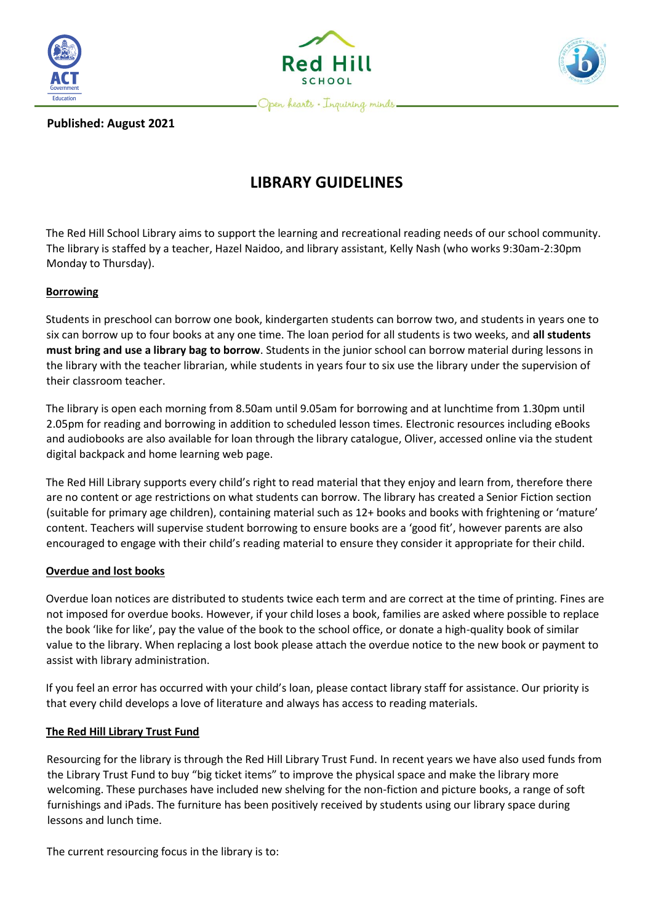





**Published: August 2021**

# **LIBRARY GUIDELINES**

The Red Hill School Library aims to support the learning and recreational reading needs of our school community. The library is staffed by a teacher, Hazel Naidoo, and library assistant, Kelly Nash (who works 9:30am-2:30pm Monday to Thursday).

# **Borrowing**

Students in preschool can borrow one book, kindergarten students can borrow two, and students in years one to six can borrow up to four books at any one time. The loan period for all students is two weeks, and **all students must bring and use a library bag to borrow**. Students in the junior school can borrow material during lessons in the library with the teacher librarian, while students in years four to six use the library under the supervision of their classroom teacher.

The library is open each morning from 8.50am until 9.05am for borrowing and at lunchtime from 1.30pm until 2.05pm for reading and borrowing in addition to scheduled lesson times. Electronic resources including eBooks and audiobooks are also available for loan through the library catalogue, Oliver, accessed online via the student digital backpack and home learning web page.

The Red Hill Library supports every child's right to read material that they enjoy and learn from, therefore there are no content or age restrictions on what students can borrow. The library has created a Senior Fiction section (suitable for primary age children), containing material such as 12+ books and books with frightening or 'mature' content. Teachers will supervise student borrowing to ensure books are a 'good fit', however parents are also encouraged to engage with their child's reading material to ensure they consider it appropriate for their child.

# **Overdue and lost books**

Overdue loan notices are distributed to students twice each term and are correct at the time of printing. Fines are not imposed for overdue books. However, if your child loses a book, families are asked where possible to replace the book 'like for like', pay the value of the book to the school office, or donate a high-quality book of similar value to the library. When replacing a lost book please attach the overdue notice to the new book or payment to assist with library administration.

If you feel an error has occurred with your child's loan, please contact library staff for assistance. Our priority is that every child develops a love of literature and always has access to reading materials.

# **The Red Hill Library Trust Fund**

Resourcing for the library is through the Red Hill Library Trust Fund. In recent years we have also used funds from the Library Trust Fund to buy "big ticket items" to improve the physical space and make the library more welcoming. These purchases have included new shelving for the non-fiction and picture books, a range of soft furnishings and iPads. The furniture has been positively received by students using our library space during lessons and lunch time.

The current resourcing focus in the library is to: